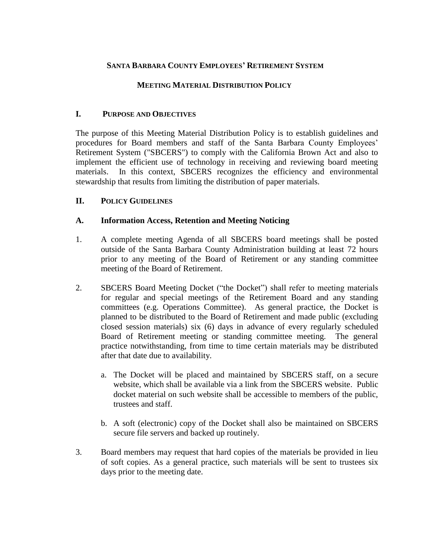# **SANTA BARBARA COUNTY EMPLOYEES' RETIREMENT SYSTEM**

## **MEETING MATERIAL DISTRIBUTION POLICY**

#### **I. PURPOSE AND OBJECTIVES**

The purpose of this Meeting Material Distribution Policy is to establish guidelines and procedures for Board members and staff of the Santa Barbara County Employees' Retirement System ("SBCERS") to comply with the California Brown Act and also to implement the efficient use of technology in receiving and reviewing board meeting materials. In this context, SBCERS recognizes the efficiency and environmental stewardship that results from limiting the distribution of paper materials.

#### **II. POLICY GUIDELINES**

#### **A. Information Access, Retention and Meeting Noticing**

- 1. A complete meeting Agenda of all SBCERS board meetings shall be posted outside of the Santa Barbara County Administration building at least 72 hours prior to any meeting of the Board of Retirement or any standing committee meeting of the Board of Retirement.
- 2. SBCERS Board Meeting Docket ("the Docket") shall refer to meeting materials for regular and special meetings of the Retirement Board and any standing committees (e.g. Operations Committee). As general practice, the Docket is planned to be distributed to the Board of Retirement and made public (excluding closed session materials) six (6) days in advance of every regularly scheduled Board of Retirement meeting or standing committee meeting. The general practice notwithstanding, from time to time certain materials may be distributed after that date due to availability.
	- a. The Docket will be placed and maintained by SBCERS staff, on a secure website, which shall be available via a link from the SBCERS website. Public docket material on such website shall be accessible to members of the public, trustees and staff.
	- b. A soft (electronic) copy of the Docket shall also be maintained on SBCERS secure file servers and backed up routinely.
- 3. Board members may request that hard copies of the materials be provided in lieu of soft copies. As a general practice, such materials will be sent to trustees six days prior to the meeting date.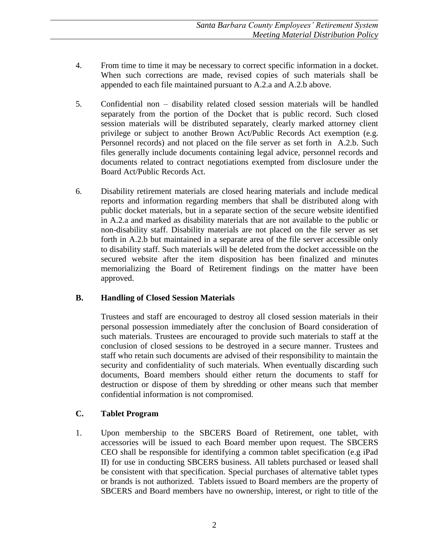- 4. From time to time it may be necessary to correct specific information in a docket. When such corrections are made, revised copies of such materials shall be appended to each file maintained pursuant to A.2.a and A.2.b above.
- 5. Confidential non disability related closed session materials will be handled separately from the portion of the Docket that is public record. Such closed session materials will be distributed separately, clearly marked attorney client privilege or subject to another Brown Act/Public Records Act exemption (e.g. Personnel records) and not placed on the file server as set forth in A.2.b. Such files generally include documents containing legal advice, personnel records and documents related to contract negotiations exempted from disclosure under the Board Act/Public Records Act.
- 6. Disability retirement materials are closed hearing materials and include medical reports and information regarding members that shall be distributed along with public docket materials, but in a separate section of the secure website identified in A.2.a and marked as disability materials that are not available to the public or non-disability staff. Disability materials are not placed on the file server as set forth in A.2.b but maintained in a separate area of the file server accessible only to disability staff. Such materials will be deleted from the docket accessible on the secured website after the item disposition has been finalized and minutes memorializing the Board of Retirement findings on the matter have been approved.

## **B. Handling of Closed Session Materials**

Trustees and staff are encouraged to destroy all closed session materials in their personal possession immediately after the conclusion of Board consideration of such materials. Trustees are encouraged to provide such materials to staff at the conclusion of closed sessions to be destroyed in a secure manner. Trustees and staff who retain such documents are advised of their responsibility to maintain the security and confidentiality of such materials. When eventually discarding such documents, Board members should either return the documents to staff for destruction or dispose of them by shredding or other means such that member confidential information is not compromised.

## **C. Tablet Program**

1. Upon membership to the SBCERS Board of Retirement, one tablet, with accessories will be issued to each Board member upon request. The SBCERS CEO shall be responsible for identifying a common tablet specification (e.g iPad II) for use in conducting SBCERS business. All tablets purchased or leased shall be consistent with that specification. Special purchases of alternative tablet types or brands is not authorized. Tablets issued to Board members are the property of SBCERS and Board members have no ownership, interest, or right to title of the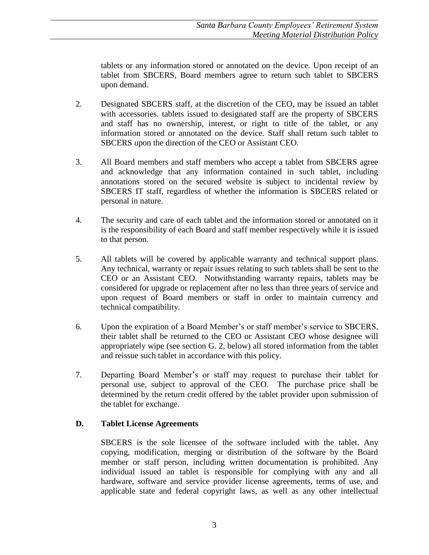tablets or any information stored or annotated on the device. Upon receipt of an tablet from SBCERS, Board members agree to return such tablet to SBCERS upon demand.

- 2. Designated SBCERS staff, at the discretion of the CEO, may be issued an tablet with accessories. tablets issued to designated staff are the property of SBCERS and staff has no ownership, interest, or right to title of the tablet, or any information stored or annotated on the device. Staff shall return such tablet to SBCERS upon the direction of the CEO or Assistant CEO.
- 3. All Board members and staff members who accept a tablet from SBCERS agree and acknowledge that any information contained in such tablet, including annotations stored on the secured website is subject to incidental review by SBCERS IT staff, regardless of whether the information is SBCERS related or personal in nature.
- 4. The security and care of each tablet and the information stored or annotated on it is the responsibility of each Board and staff member respectively while it is issued to that person.
- 5. All tablets will be covered by applicable warranty and technical support plans. Any technical, warranty or repair issues relating to such tablets shall be sent to the CEO or an Assistant CEO. Notwithstanding warranty repairs, tablets may be considered for upgrade or replacement after no less than three years of service and upon request of Board members or staff in order to maintain currency and technical compatibility.
- 6. Upon the expiration of a Board Member's or staff member's service to SBCERS, their tablet shall be returned to the CEO or Assistant CEO whose designee will appropriately wipe (see section G. 2, below) all stored information from the tablet and reissue such tablet in accordance with this policy.
- 7. Departing Board Member's or staff may request to purchase their tablet for personal use, subject to approval of the CEO. The purchase price shall be determined by the return credit offered by the tablet provider upon submission of the tablet for exchange.

## **D. Tablet License Agreements**

SBCERS is the sole licensee of the software included with the tablet. Any copying, modification, merging or distribution of the software by the Board member or staff person, including written documentation is prohibited. Any individual issued an tablet is responsible for complying with any and all hardware, software and service provider license agreements, terms of use, and applicable state and federal copyright laws, as well as any other intellectual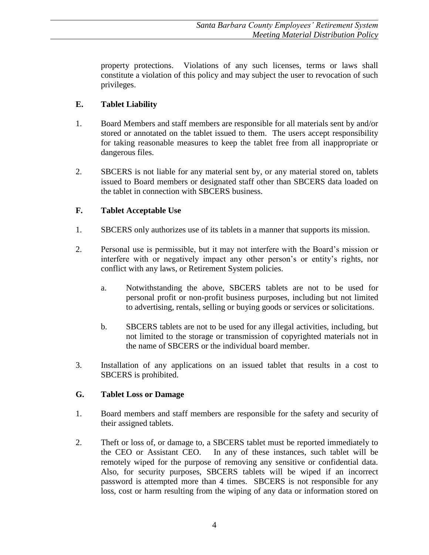property protections. Violations of any such licenses, terms or laws shall constitute a violation of this policy and may subject the user to revocation of such privileges.

# **E. Tablet Liability**

- 1. Board Members and staff members are responsible for all materials sent by and/or stored or annotated on the tablet issued to them. The users accept responsibility for taking reasonable measures to keep the tablet free from all inappropriate or dangerous files.
- 2. SBCERS is not liable for any material sent by, or any material stored on, tablets issued to Board members or designated staff other than SBCERS data loaded on the tablet in connection with SBCERS business.

# **F. Tablet Acceptable Use**

- 1. SBCERS only authorizes use of its tablets in a manner that supports its mission.
- 2. Personal use is permissible, but it may not interfere with the Board's mission or interfere with or negatively impact any other person's or entity's rights, nor conflict with any laws, or Retirement System policies.
	- a. Notwithstanding the above, SBCERS tablets are not to be used for personal profit or non-profit business purposes, including but not limited to advertising, rentals, selling or buying goods or services or solicitations.
	- b. SBCERS tablets are not to be used for any illegal activities, including, but not limited to the storage or transmission of copyrighted materials not in the name of SBCERS or the individual board member.
- 3. Installation of any applications on an issued tablet that results in a cost to SBCERS is prohibited.

## **G. Tablet Loss or Damage**

- 1. Board members and staff members are responsible for the safety and security of their assigned tablets.
- 2. Theft or loss of, or damage to, a SBCERS tablet must be reported immediately to the CEO or Assistant CEO. In any of these instances, such tablet will be remotely wiped for the purpose of removing any sensitive or confidential data. Also, for security purposes, SBCERS tablets will be wiped if an incorrect password is attempted more than 4 times. SBCERS is not responsible for any loss, cost or harm resulting from the wiping of any data or information stored on